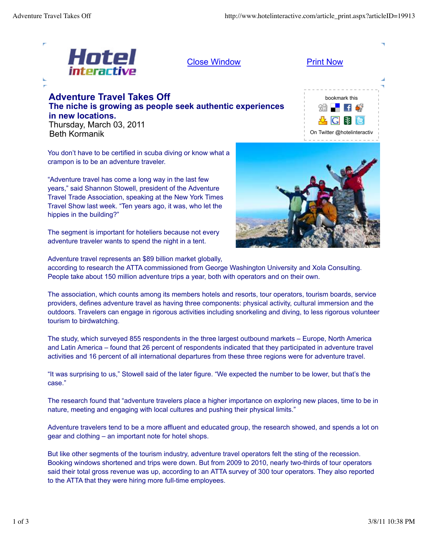

Close Window **Print Now** 

## **Adventure Travel Takes Off The niche is growing as people seek authentic experiences in new locations.** Thursday, March 03, 2011 Beth Kormanik

bookmark this E. On Twitter @hotelinteractiv

You don't have to be certified in scuba diving or know what a crampon is to be an adventure traveler.

"Adventure travel has come a long way in the last few years," said Shannon Stowell, president of the Adventure Travel Trade Association, speaking at the New York Times Travel Show last week. "Ten years ago, it was, who let the hippies in the building?"

The segment is important for hoteliers because not every adventure traveler wants to spend the night in a tent.

Adventure travel represents an \$89 billion market globally,



according to research the ATTA commissioned from George Washington University and Xola Consulting. People take about 150 million adventure trips a year, both with operators and on their own.

The association, which counts among its members hotels and resorts, tour operators, tourism boards, service providers, defines adventure travel as having three components: physical activity, cultural immersion and the outdoors. Travelers can engage in rigorous activities including snorkeling and diving, to less rigorous volunteer tourism to birdwatching.

The study, which surveyed 855 respondents in the three largest outbound markets – Europe, North America and Latin America – found that 26 percent of respondents indicated that they participated in adventure travel activities and 16 percent of all international departures from these three regions were for adventure travel.

"It was surprising to us," Stowell said of the later figure. "We expected the number to be lower, but that's the case."

The research found that "adventure travelers place a higher importance on exploring new places, time to be in nature, meeting and engaging with local cultures and pushing their physical limits."

Adventure travelers tend to be a more affluent and educated group, the research showed, and spends a lot on gear and clothing – an important note for hotel shops.

But like other segments of the tourism industry, adventure travel operators felt the sting of the recession. Booking windows shortened and trips were down. But from 2009 to 2010, nearly two-thirds of tour operators said their total gross revenue was up, according to an ATTA survey of 300 tour operators. They also reported to the ATTA that they were hiring more full-time employees.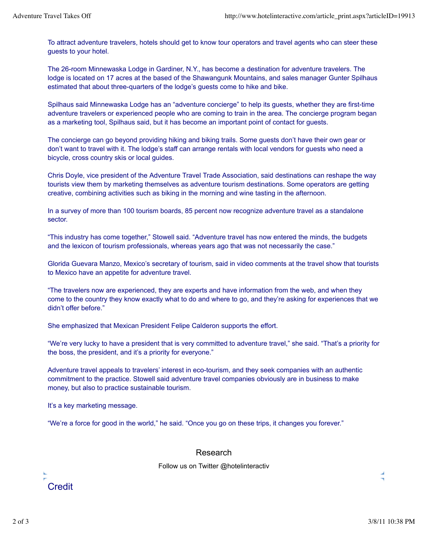To attract adventure travelers, hotels should get to know tour operators and travel agents who can steer these guests to your hotel.

The 26-room Minnewaska Lodge in Gardiner, N.Y., has become a destination for adventure travelers. The lodge is located on 17 acres at the based of the Shawangunk Mountains, and sales manager Gunter Spilhaus estimated that about three-quarters of the lodge's guests come to hike and bike.

Spilhaus said Minnewaska Lodge has an "adventure concierge" to help its guests, whether they are first-time adventure travelers or experienced people who are coming to train in the area. The concierge program began as a marketing tool, Spilhaus said, but it has become an important point of contact for guests.

The concierge can go beyond providing hiking and biking trails. Some guests don't have their own gear or don't want to travel with it. The lodge's staff can arrange rentals with local vendors for guests who need a bicycle, cross country skis or local guides.

Chris Doyle, vice president of the Adventure Travel Trade Association, said destinations can reshape the way tourists view them by marketing themselves as adventure tourism destinations. Some operators are getting creative, combining activities such as biking in the morning and wine tasting in the afternoon.

In a survey of more than 100 tourism boards, 85 percent now recognize adventure travel as a standalone sector.

"This industry has come together," Stowell said. "Adventure travel has now entered the minds, the budgets and the lexicon of tourism professionals, whereas years ago that was not necessarily the case."

Glorida Guevara Manzo, Mexico's secretary of tourism, said in video comments at the travel show that tourists to Mexico have an appetite for adventure travel.

"The travelers now are experienced, they are experts and have information from the web, and when they come to the country they know exactly what to do and where to go, and they're asking for experiences that we didn't offer before."

She emphasized that Mexican President Felipe Calderon supports the effort.

"We're very lucky to have a president that is very committed to adventure travel," she said. "That's a priority for the boss, the president, and it's a priority for everyone."

Adventure travel appeals to travelers' interest in eco-tourism, and they seek companies with an authentic commitment to the practice. Stowell said adventure travel companies obviously are in business to make money, but also to practice sustainable tourism.

It's a key marketing message.

"We're a force for good in the world," he said. "Once you go on these trips, it changes you forever."

## Research

Follow us on Twitter @hotelinteractiv